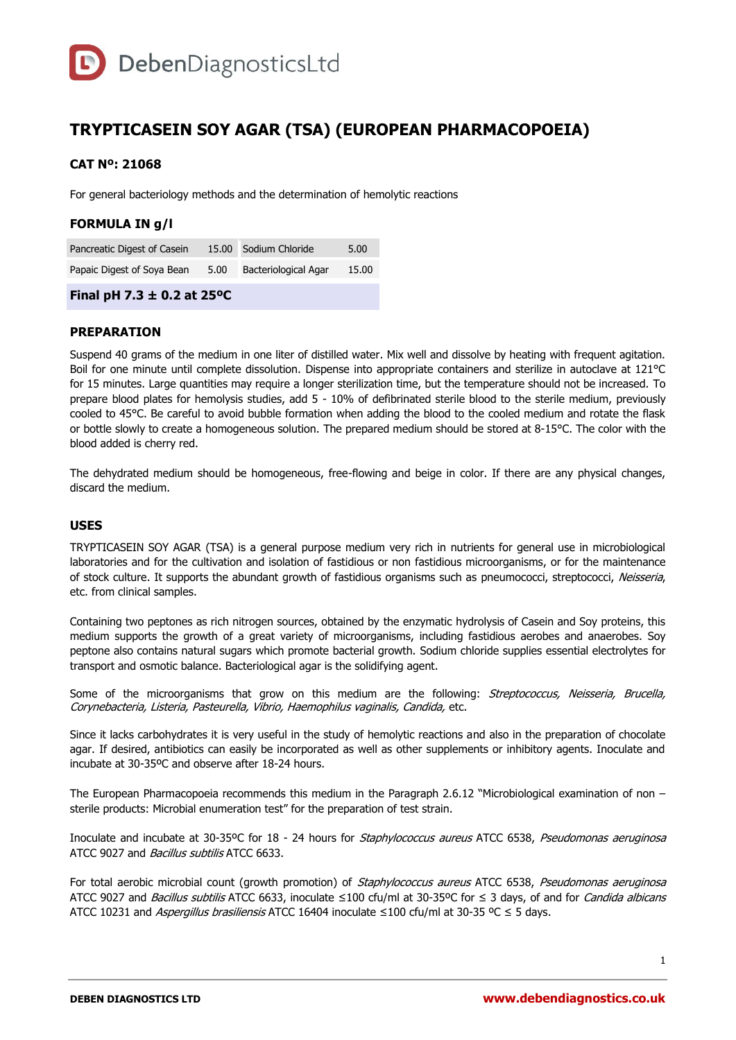

# **TRYPTICASEIN SOY AGAR (TSA) (EUROPEAN PHARMACOPOEIA)**

### **CAT Nº: 21068**

For general bacteriology methods and the determination of hemolytic reactions

# **FORMULA IN g/l**

| Pancreatic Digest of Casein | 15.00 Sodium Chloride     | 5.00  |
|-----------------------------|---------------------------|-------|
| Papaic Digest of Soya Bean  | 5.00 Bacteriological Agar | 15.00 |

# **Final pH 7.3 ± 0.2 at 25ºC**

#### **PREPARATION**

Suspend 40 grams of the medium in one liter of distilled water. Mix well and dissolve by heating with frequent agitation. Boil for one minute until complete dissolution. Dispense into appropriate containers and sterilize in autoclave at 121°C for 15 minutes. Large quantities may require a longer sterilization time, but the temperature should not be increased. To prepare blood plates for hemolysis studies, add 5 - 10% of defibrinated sterile blood to the sterile medium, previously cooled to 45°C. Be careful to avoid bubble formation when adding the blood to the cooled medium and rotate the flask or bottle slowly to create a homogeneous solution. The prepared medium should be stored at 8-15°C. The color with the blood added is cherry red.

The dehydrated medium should be homogeneous, free-flowing and beige in color. If there are any physical changes, discard the medium.

#### **USES**

TRYPTICASEIN SOY AGAR (TSA) is a general purpose medium very rich in nutrients for general use in microbiological laboratories and for the cultivation and isolation of fastidious or non fastidious microorganisms, or for the maintenance of stock culture. It supports the abundant growth of fastidious organisms such as pneumococci, streptococci, Neisseria, etc. from clinical samples.

Containing two peptones as rich nitrogen sources, obtained by the enzymatic hydrolysis of Casein and Soy proteins, this medium supports the growth of a great variety of microorganisms, including fastidious aerobes and anaerobes. Soy peptone also contains natural sugars which promote bacterial growth. Sodium chloride supplies essential electrolytes for transport and osmotic balance. Bacteriological agar is the solidifying agent.

Some of the microorganisms that grow on this medium are the following: Streptococcus, Neisseria, Brucella, Corynebacteria, Listeria, Pasteurella, Vibrio, Haemophilus vaginalis, Candida, etc.

Since it lacks carbohydrates it is very useful in the study of hemolytic reactions and also in the preparation of chocolate agar. If desired, antibiotics can easily be incorporated as well as other supplements or inhibitory agents. Inoculate and incubate at 30-35ºC and observe after 18-24 hours.

The European Pharmacopoeia recommends this medium in the Paragraph 2.6.12 "Microbiological examination of non – sterile products: Microbial enumeration test" for the preparation of test strain.

Inoculate and incubate at 30-35ºC for 18 - 24 hours for Staphylococcus aureus ATCC 6538, Pseudomonas aeruginosa ATCC 9027 and *Bacillus subtilis* ATCC 6633.

For total aerobic microbial count (growth promotion) of Staphylococcus aureus ATCC 6538, Pseudomonas aeruginosa ATCC 9027 and *Bacillus subtilis* ATCC 6633, inoculate ≤100 cfu/ml at 30-35°C for ≤ 3 days, of and for *Candida albicans* ATCC 10231 and Aspergillus brasiliensis ATCC 16404 inoculate ≤100 cfu/ml at 30-35 °C ≤ 5 days.